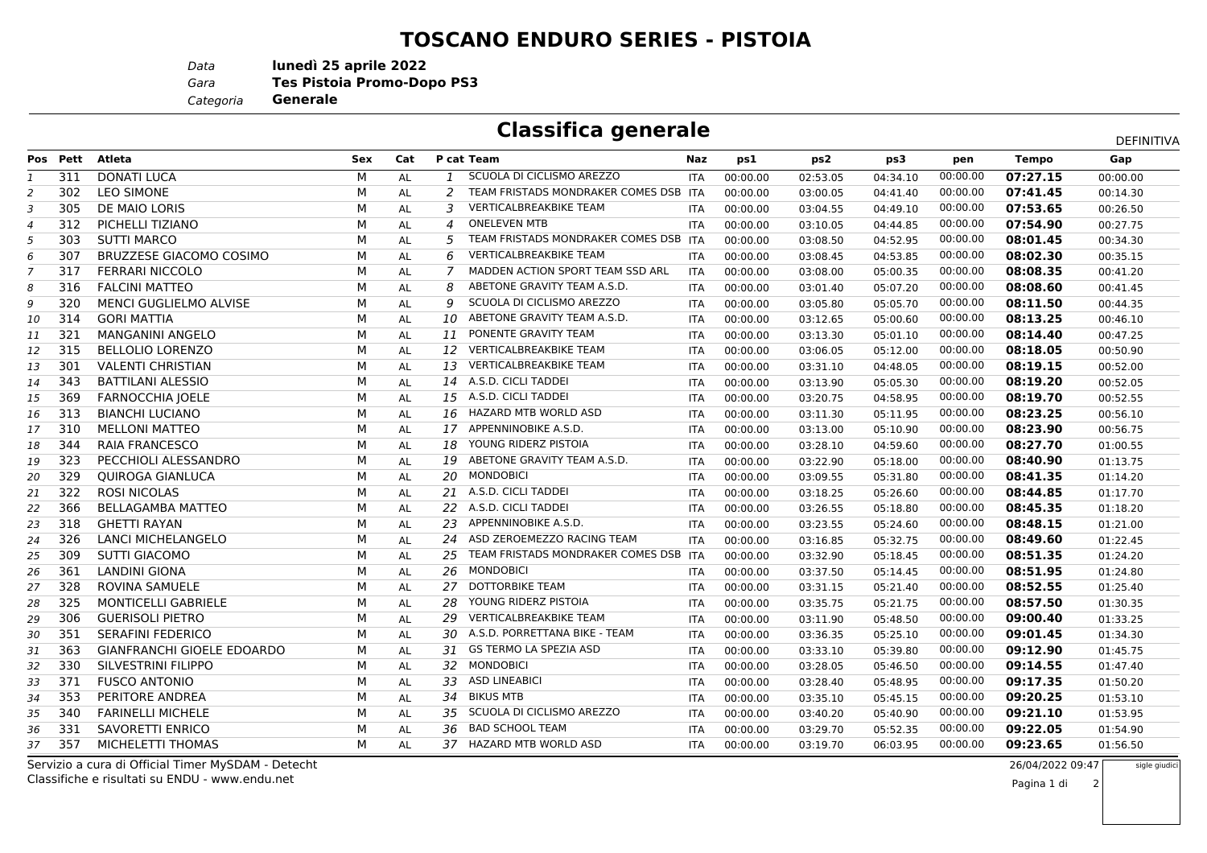## **TOSCANO ENDURO SERIES - PISTOIA**

*Data***lunedì 25 aprile 2022**

*Gara* **Tes Pistoia Promo-Dopo PS3**

*Categoria***Generale**

## **Classifica generale**

|    |          |                                |     |           |     |                                       |            |          |          |          | DEFINITIVA |              |          |
|----|----------|--------------------------------|-----|-----------|-----|---------------------------------------|------------|----------|----------|----------|------------|--------------|----------|
|    | Pos Pett | <b>Atleta</b>                  | Sex | Cat       |     | P cat Team                            | Naz        | ps1      | ps2      | ps3      | pen        | <b>Tempo</b> | Gap      |
| 1  | 311      | <b>DONATI LUCA</b>             | М   | AL        | 1   | SCUOLA DI CICLISMO AREZZO             | <b>ITA</b> | 00:00.00 | 02:53.05 | 04:34.10 | 00:00.00   | 07:27.15     | 00:00.00 |
| 2  | 302      | <b>LEO SIMONE</b>              | M   | <b>AL</b> | 2   | TEAM FRISTADS MONDRAKER COMES DSB ITA |            | 00:00.00 | 03:00.05 | 04:41.40 | 00:00.00   | 07:41.45     | 00:14.30 |
| 3  | 305      | DE MAIO LORIS                  | M   | AL        | 3   | <b>VERTICALBREAKBIKE TEAM</b>         | <b>ITA</b> | 00:00.00 | 03:04.55 | 04:49.10 | 00:00.00   | 07:53.65     | 00:26.50 |
| 4  | 312      | PICHELLI TIZIANO               | М   | <b>AL</b> | 4   | <b>ONELEVEN MTB</b>                   | <b>ITA</b> | 00:00.00 | 03:10.05 | 04:44.85 | 00:00.00   | 07:54.90     | 00:27.75 |
| 5  | 303      | <b>SUTTI MARCO</b>             | м   | <b>AL</b> | 5   | TEAM FRISTADS MONDRAKER COMES DSB ITA |            | 00:00.00 | 03:08.50 | 04:52.95 | 00:00.00   | 08:01.45     | 00:34.30 |
| 6  | 307      | <b>BRUZZESE GIACOMO COSIMO</b> | м   | AL        | 6   | <b>VERTICALBREAKBIKE TEAM</b>         | <b>ITA</b> | 00:00.00 | 03:08.45 | 04:53.85 | 00:00.00   | 08:02.30     | 00:35.15 |
| 7  | 317      | <b>FERRARI NICCOLO</b>         | М   | AL        | 7   | MADDEN ACTION SPORT TEAM SSD ARL      | <b>ITA</b> | 00:00.00 | 03:08.00 | 05:00.35 | 00:00.00   | 08:08.35     | 00:41.20 |
| 8  | 316      | <b>FALCINI MATTEO</b>          | M   | AL        | 8   | ABETONE GRAVITY TEAM A.S.D.           | <b>ITA</b> | 00:00.00 | 03:01.40 | 05:07.20 | 00:00.00   | 08:08.60     | 00:41.45 |
| 9  | 320      | MENCI GUGLIELMO ALVISE         | М   | AL        | 9   | SCUOLA DI CICLISMO AREZZO             | <b>ITA</b> | 00:00.00 | 03:05.80 | 05:05.70 | 00:00.00   | 08:11.50     | 00:44.35 |
| 10 | 314      | <b>GORI MATTIA</b>             | М   | AL        | 10  | ABETONE GRAVITY TEAM A.S.D.           | <b>ITA</b> | 00:00.00 | 03:12.65 | 05:00.60 | 00:00.00   | 08:13.25     | 00:46.10 |
| 11 | 321      | <b>MANGANINI ANGELO</b>        | M   | AL        | 11  | PONENTE GRAVITY TEAM                  | <b>ITA</b> | 00:00.00 | 03:13.30 | 05:01.10 | 00:00.00   | 08:14.40     | 00:47.25 |
| 12 | 315      | <b>BELLOLIO LORENZO</b>        | M   | AL        | 12  | <b>VERTICALBREAKBIKE TEAM</b>         | <b>ITA</b> | 00:00.00 | 03:06.05 | 05:12.00 | 00:00.00   | 08:18.05     | 00:50.90 |
| 13 | 301      | <b>VALENTI CHRISTIAN</b>       | M   | AL        | 13  | <b>VERTICALBREAKBIKE TEAM</b>         | <b>ITA</b> | 00:00.00 | 03:31.10 | 04:48.05 | 00:00.00   | 08:19.15     | 00:52.00 |
| 14 | 343      | <b>BATTILANI ALESSIO</b>       | M   | AL        | 14  | A.S.D. CICLI TADDEI                   | <b>ITA</b> | 00:00.00 | 03:13.90 | 05:05.30 | 00:00.00   | 08:19.20     | 00:52.05 |
| 15 | 369      | <b>FARNOCCHIA JOELE</b>        | М   | AL        |     | 15 A.S.D. CICLI TADDEI                | ITA        | 00:00.00 | 03:20.75 | 04:58.95 | 00:00.00   | 08:19.70     | 00:52.55 |
| 16 | 313      | <b>BIANCHI LUCIANO</b>         | М   | AL        | 16  | HAZARD MTB WORLD ASD                  | <b>ITA</b> | 00:00.00 | 03:11.30 | 05:11.95 | 00:00.00   | 08:23.25     | 00:56.10 |
| 17 | 310      | <b>MELLONI MATTEO</b>          | M   | <b>AL</b> | 17  | APPENNINOBIKE A.S.D.                  | <b>ITA</b> | 00:00.00 | 03:13.00 | 05:10.90 | 00:00.00   | 08:23.90     | 00:56.75 |
| 18 | 344      | RAIA FRANCESCO                 | M   | AL        | 18  | YOUNG RIDERZ PISTOIA                  | <b>ITA</b> | 00:00.00 | 03:28.10 | 04:59.60 | 00:00.00   | 08:27.70     | 01:00.55 |
| 19 | 323      | PECCHIOLI ALESSANDRO           | М   | <b>AL</b> | 19  | ABETONE GRAVITY TEAM A.S.D.           | <b>ITA</b> | 00:00.00 | 03:22.90 | 05:18.00 | 00:00.00   | 08:40.90     | 01:13.75 |
| 20 | 329      | <b>OUIROGA GIANLUCA</b>        | М   | AL        | 20  | <b>MONDOBICI</b>                      | ITA        | 00:00.00 | 03:09.55 | 05:31.80 | 00:00.00   | 08:41.35     | 01:14.20 |
| 21 | 322      | <b>ROSI NICOLAS</b>            | м   | AL        |     | 21 A.S.D. CICLI TADDEI                | <b>ITA</b> | 00:00.00 | 03:18.25 | 05:26.60 | 00:00.00   | 08:44.85     | 01:17.70 |
| 22 | 366      | BELLAGAMBA MATTEO              | М   | <b>AL</b> |     | 22 A.S.D. CICLI TADDEI                | <b>ITA</b> | 00:00.00 | 03:26.55 | 05:18.80 | 00:00.00   | 08:45.35     | 01:18.20 |
| 23 | 318      | <b>GHETTI RAYAN</b>            | М   | AL        | 23  | APPENNINOBIKE A.S.D.                  | <b>ITA</b> | 00:00.00 | 03:23.55 | 05:24.60 | 00:00.00   | 08:48.15     | 01:21.00 |
| 24 | 326      | LANCI MICHELANGELO             | М   | <b>AL</b> | 24  | ASD ZEROEMEZZO RACING TEAM            | <b>ITA</b> | 00:00.00 | 03:16.85 | 05:32.75 | 00:00.00   | 08:49.60     | 01:22.45 |
| 25 | 309      | <b>SUTTI GIACOMO</b>           | М   | AL        | 25  | TEAM FRISTADS MONDRAKER COMES DSB ITA |            | 00:00.00 | 03:32.90 | 05:18.45 | 00:00.00   | 08:51.35     | 01:24.20 |
| 26 | 361      | <b>LANDINI GIONA</b>           | M   | AL        | 26  | <b>MONDOBICI</b>                      | <b>ITA</b> | 00:00.00 | 03:37.50 | 05:14.45 | 00:00.00   | 08:51.95     | 01:24.80 |
| 27 | 328      | ROVINA SAMUELE                 | M   | AL        | 27  | <b>DOTTORBIKE TEAM</b>                | <b>ITA</b> | 00:00.00 | 03:31.15 | 05:21.40 | 00:00.00   | 08:52.55     | 01:25.40 |
| 28 | 325      | MONTICELLI GABRIELE            | M   | AL        | 28  | YOUNG RIDERZ PISTOIA                  | ITA        | 00:00.00 | 03:35.75 | 05:21.75 | 00:00.00   | 08:57.50     | 01:30.35 |
| 29 | 306      | <b>GUERISOLI PIETRO</b>        | M   | AL        | 29  | <b>VERTICALBREAKBIKE TEAM</b>         | <b>ITA</b> | 00:00.00 | 03:11.90 | 05:48.50 | 00:00.00   | 09:00.40     | 01:33.25 |
| 30 | 351      | <b>SERAFINI FEDERICO</b>       | М   | AL        | 30  | A.S.D. PORRETTANA BIKE - TEAM         | <b>ITA</b> | 00:00.00 | 03:36.35 | 05:25.10 | 00:00.00   | 09:01.45     | 01:34.30 |
| 31 | 363      | GIANFRANCHI GIOELE EDOARDO     | M   | AL        | 31  | <b>GS TERMO LA SPEZIA ASD</b>         | ITA        | 00:00.00 | 03:33.10 | 05:39.80 | 00:00.00   | 09:12.90     | 01:45.75 |
| 32 | 330      | SILVESTRINI FILIPPO            | M   | <b>AL</b> | 32  | <b>MONDOBICI</b>                      | <b>ITA</b> | 00:00.00 | 03:28.05 | 05:46.50 | 00:00.00   | 09:14.55     | 01:47.40 |
| 33 | 371      | <b>FUSCO ANTONIO</b>           | M   | <b>AL</b> | 33  | <b>ASD LINEABICI</b>                  | <b>ITA</b> | 00:00.00 | 03:28.40 | 05:48.95 | 00:00.00   | 09:17.35     | 01:50.20 |
| 34 | 353      | PERITORE ANDREA                | М   | <b>AL</b> | 34  | <b>BIKUS MTB</b>                      | <b>ITA</b> | 00:00.00 | 03:35.10 | 05:45.15 | 00:00.00   | 09:20.25     | 01:53.10 |
| 35 | 340      | <b>FARINELLI MICHELE</b>       | м   | AL        | 35. | SCUOLA DI CICLISMO AREZZO             | <b>ITA</b> | 00:00.00 | 03:40.20 | 05:40.90 | 00:00.00   | 09:21.10     | 01:53.95 |
| 36 | 331      | SAVORETTI ENRICO               | м   | AL        | 36  | <b>BAD SCHOOL TEAM</b>                | <b>ITA</b> | 00:00.00 | 03:29.70 | 05:52.35 | 00:00.00   | 09:22.05     | 01:54.90 |
| 37 | 357      | MICHELETTI THOMAS              | м   | <b>AL</b> |     | 37 HAZARD MTB WORLD ASD               | <b>ITA</b> | 00:00.00 | 03:19.70 | 06:03.95 | 00:00.00   | 09:23.65     | 01:56.50 |
|    |          |                                |     |           |     |                                       |            |          |          |          |            |              |          |

Classifiche e risultati su ENDU - www.endu.netServizio a cura di Official Timer MySDAM - Detecht

 26/04/2022 09:47sigle giudic

Pagina 1 di

2